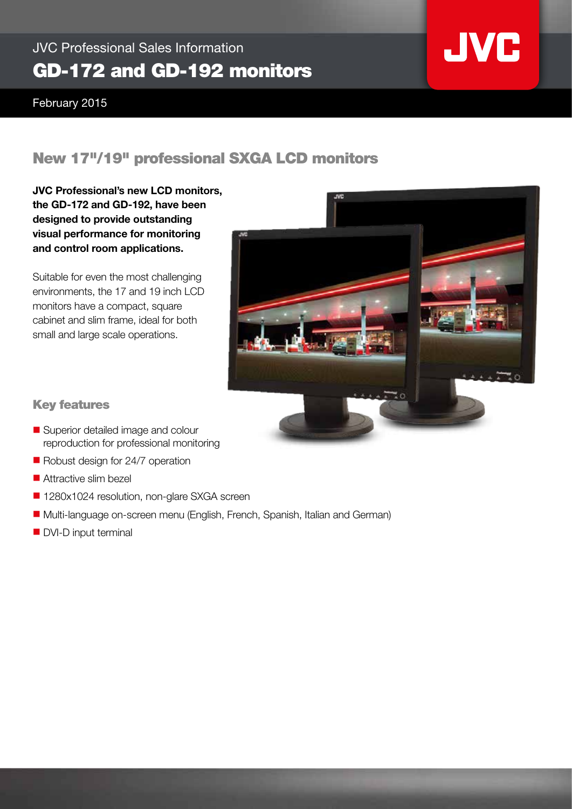## JVC Professional Sales Information GD-172 and GD-192 monitors

February 2015

## New 17"/19" professional SXGA LCD monitors

JVC Professional's new LCD monitors, the GD-172 and GD-192, have been designed to provide outstanding visual performance for monitoring and control room applications.

Suitable for even the most challenging environments, the 17 and 19 inch LCD monitors have a compact, square cabinet and slim frame, ideal for both small and large scale operations.



**JVC** 

### Key features

- Superior detailed image and colour reproduction for professional monitoring
- $\blacksquare$  Robust design for 24/7 operation
- $\blacksquare$  Attractive slim bezel
- 1280x1024 resolution, non-glare SXGA screen
- Multi-language on-screen menu (English, French, Spanish, Italian and German)
- DVI-D input terminal